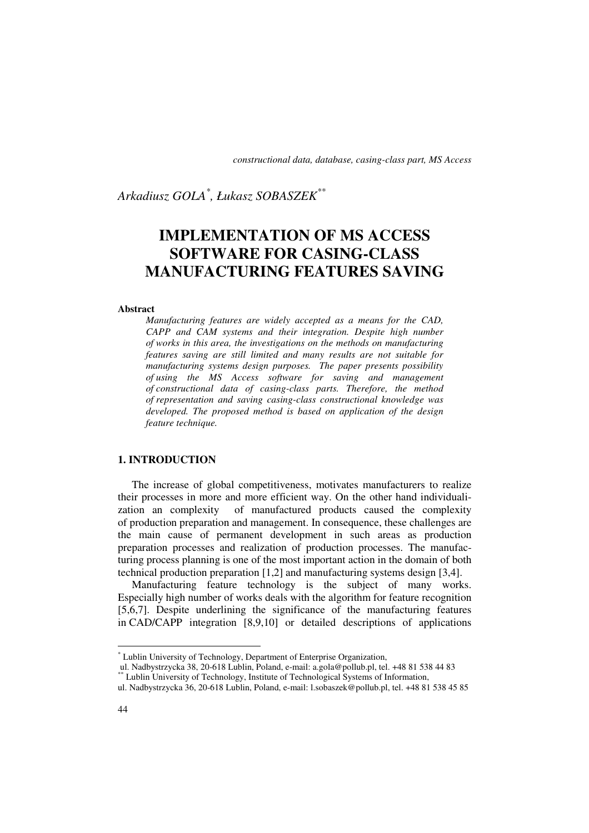# *Arkadiusz GOLA\* , Łukasz SOBASZEK\*\**

# **IMPLEMENTATION OF MS ACCESS SOFTWARE FOR CASING-CLASS MANUFACTURING FEATURES SAVING**

#### **Abstract**

*Manufacturing features are widely accepted as a means for the CAD, CAPP and CAM systems and their integration. Despite high number of works in this area, the investigations on the methods on manufacturing features saving are still limited and many results are not suitable for manufacturing systems design purposes. The paper presents possibility of using the MS Access software for saving and management of constructional data of casing-class parts. Therefore, the method of representation and saving casing-class constructional knowledge was developed. The proposed method is based on application of the design feature technique.* 

### **1. INTRODUCTION**

The increase of global competitiveness, motivates manufacturers to realize their processes in more and more efficient way. On the other hand individualization an complexity of manufactured products caused the complexity of production preparation and management. In consequence, these challenges are the main cause of permanent development in such areas as production preparation processes and realization of production processes. The manufacturing process planning is one of the most important action in the domain of both technical production preparation [1,2] and manufacturing systems design [3,4].

Manufacturing feature technology is the subject of many works. Especially high number of works deals with the algorithm for feature recognition [5,6,7]. Despite underlining the significance of the manufacturing features in CAD/CAPP integration [8,9,10] or detailed descriptions of applications

l

<sup>\*</sup> Lublin University of Technology, Department of Enterprise Organization,

ul. Nadbystrzycka 38, 20-618 Lublin, Poland, e-mail: a.gola@pollub.pl, tel. +48 81 538 44 83

<sup>\*\*</sup> Lublin University of Technology, Institute of Technological Systems of Information,

ul. Nadbystrzycka 36, 20-618 Lublin, Poland, e-mail: l.sobaszek@pollub.pl, tel. +48 81 538 45 85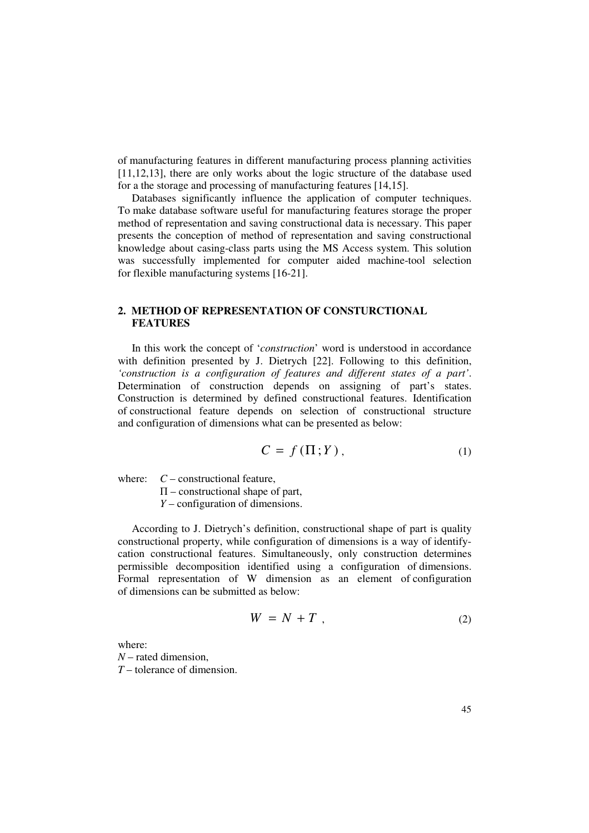of manufacturing features in different manufacturing process planning activities [11,12,13], there are only works about the logic structure of the database used for a the storage and processing of manufacturing features [14,15].

Databases significantly influence the application of computer techniques. To make database software useful for manufacturing features storage the proper method of representation and saving constructional data is necessary. This paper presents the conception of method of representation and saving constructional knowledge about casing-class parts using the MS Access system. This solution was successfully implemented for computer aided machine-tool selection for flexible manufacturing systems [16-21].

# **2. METHOD OF REPRESENTATION OF CONSTURCTIONAL FEATURES**

In this work the concept of '*construction*' word is understood in accordance with definition presented by J. Dietrych [22]. Following to this definition, *'construction is a configuration of features and different states of a part'*. Determination of construction depends on assigning of part's states. Construction is determined by defined constructional features. Identification of constructional feature depends on selection of constructional structure and configuration of dimensions what can be presented as below:

$$
C = f(\Pi; Y), \tag{1}
$$

where:  $C$  – constructional feature,

 $\Pi$  – constructional shape of part,

*Y* – configuration of dimensions.

According to J. Dietrych's definition, constructional shape of part is quality constructional property, while configuration of dimensions is a way of identifycation constructional features. Simultaneously, only construction determines permissible decomposition identified using a configuration of dimensions. Formal representation of W dimension as an element of configuration of dimensions can be submitted as below:

$$
W = N + T \t\t(2)
$$

where: *N* – rated dimension, *T* – tolerance of dimension.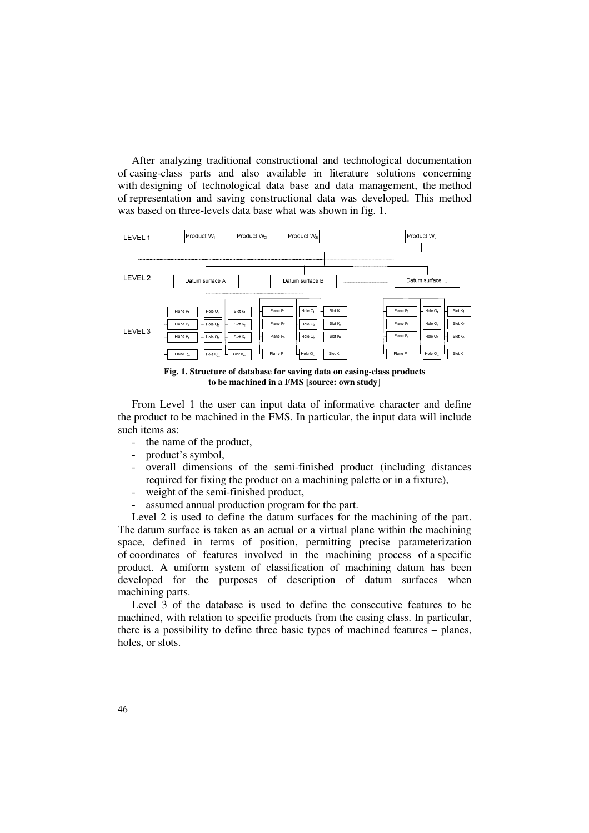After analyzing traditional constructional and technological documentation of casing-class parts and also available in literature solutions concerning with designing of technological data base and data management, the method of representation and saving constructional data was developed. This method was based on three-levels data base what was shown in fig. 1.



**Fig. 1. Structure of database for saving data on casing-class products to be machined in a FMS [source: own study]** 

From Level 1 the user can input data of informative character and define the product to be machined in the FMS. In particular, the input data will include such items as:

- the name of the product,
- product's symbol,
- overall dimensions of the semi-finished product (including distances required for fixing the product on a machining palette or in a fixture),
- weight of the semi-finished product,
- assumed annual production program for the part.

Level 2 is used to define the datum surfaces for the machining of the part. The datum surface is taken as an actual or a virtual plane within the machining space, defined in terms of position, permitting precise parameterization of coordinates of features involved in the machining process of a specific product. A uniform system of classification of machining datum has been developed for the purposes of description of datum surfaces when machining parts.

Level 3 of the database is used to define the consecutive features to be machined, with relation to specific products from the casing class. In particular, there is a possibility to define three basic types of machined features – planes, holes, or slots.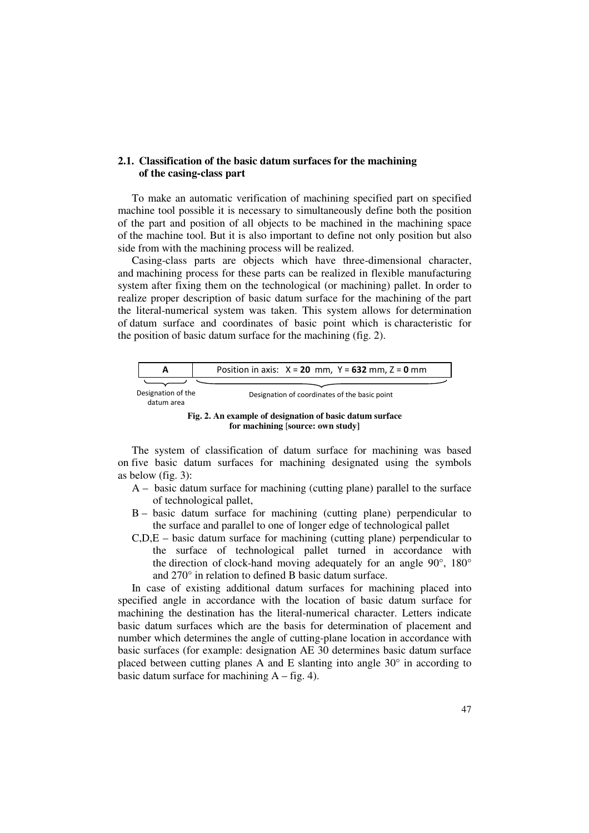#### **2.1. Classification of the basic datum surfaces for the machining of the casing-class part**

To make an automatic verification of machining specified part on specified machine tool possible it is necessary to simultaneously define both the position of the part and position of all objects to be machined in the machining space of the machine tool. But it is also important to define not only position but also side from with the machining process will be realized.

Casing-class parts are objects which have three-dimensional character, and machining process for these parts can be realized in flexible manufacturing system after fixing them on the technological (or machining) pallet. In order to realize proper description of basic datum surface for the machining of the part the literal-numerical system was taken. This system allows for determination of datum surface and coordinates of basic point which is characteristic for the position of basic datum surface for the machining (fig. 2).



The system of classification of datum surface for machining was based on five basic datum surfaces for machining designated using the symbols as below (fig. 3):

- A basic datum surface for machining (cutting plane) parallel to the surface of technological pallet,
- B basic datum surface for machining (cutting plane) perpendicular to the surface and parallel to one of longer edge of technological pallet
- C,D,E basic datum surface for machining (cutting plane) perpendicular to the surface of technological pallet turned in accordance with the direction of clock-hand moving adequately for an angle 90°, 180° and 270° in relation to defined B basic datum surface.

In case of existing additional datum surfaces for machining placed into specified angle in accordance with the location of basic datum surface for machining the destination has the literal-numerical character. Letters indicate basic datum surfaces which are the basis for determination of placement and number which determines the angle of cutting-plane location in accordance with basic surfaces (for example: designation AE 30 determines basic datum surface placed between cutting planes A and E slanting into angle  $30^{\circ}$  in according to basic datum surface for machining  $A - fig. 4$ ).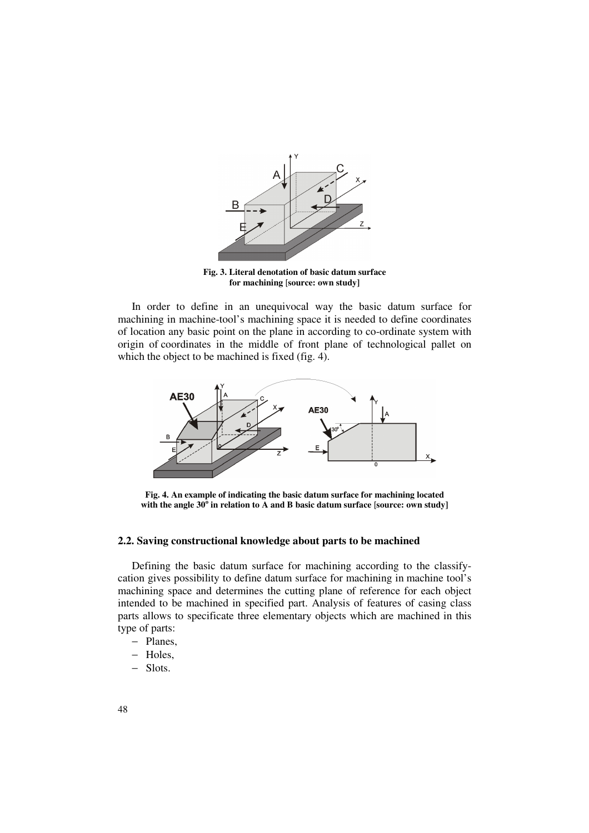

**Fig. 3. Literal denotation of basic datum surface for machining** [**source: own study]** 

In order to define in an unequivocal way the basic datum surface for machining in machine-tool's machining space it is needed to define coordinates of location any basic point on the plane in according to co-ordinate system with origin of coordinates in the middle of front plane of technological pallet on which the object to be machined is fixed (fig. 4).



**Fig. 4. An example of indicating the basic datum surface for machining located with the angle 30<sup>o</sup> in relation to A and B basic datum surface** [**source: own study]** 

#### **2.2. Saving constructional knowledge about parts to be machined**

Defining the basic datum surface for machining according to the classifycation gives possibility to define datum surface for machining in machine tool's machining space and determines the cutting plane of reference for each object intended to be machined in specified part. Analysis of features of casing class parts allows to specificate three elementary objects which are machined in this type of parts:

- − Planes,
- − Holes,
- − Slots.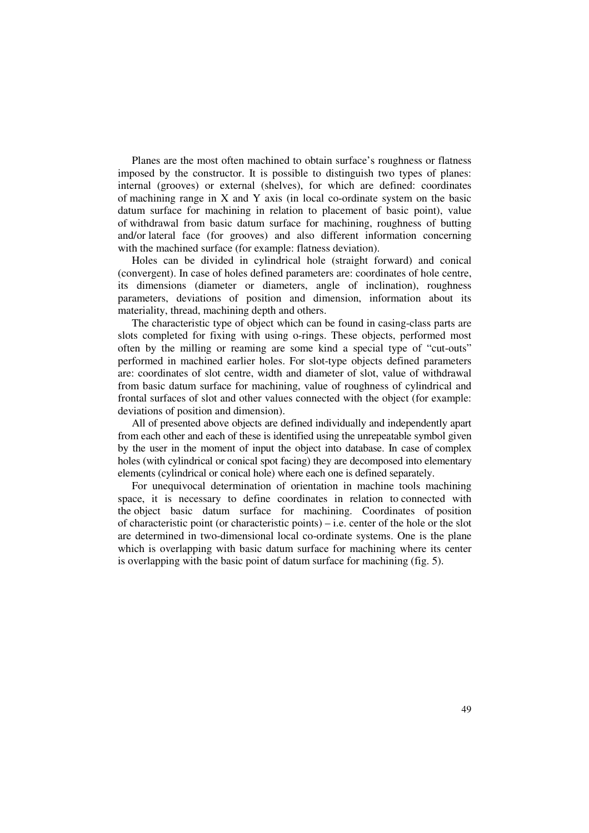Planes are the most often machined to obtain surface's roughness or flatness imposed by the constructor. It is possible to distinguish two types of planes: internal (grooves) or external (shelves), for which are defined: coordinates of machining range in X and Y axis (in local co-ordinate system on the basic datum surface for machining in relation to placement of basic point), value of withdrawal from basic datum surface for machining, roughness of butting and/or lateral face (for grooves) and also different information concerning with the machined surface (for example: flatness deviation).

Holes can be divided in cylindrical hole (straight forward) and conical (convergent). In case of holes defined parameters are: coordinates of hole centre, its dimensions (diameter or diameters, angle of inclination), roughness parameters, deviations of position and dimension, information about its materiality, thread, machining depth and others.

The characteristic type of object which can be found in casing-class parts are slots completed for fixing with using o-rings. These objects, performed most often by the milling or reaming are some kind a special type of "cut-outs" performed in machined earlier holes. For slot-type objects defined parameters are: coordinates of slot centre, width and diameter of slot, value of withdrawal from basic datum surface for machining, value of roughness of cylindrical and frontal surfaces of slot and other values connected with the object (for example: deviations of position and dimension).

All of presented above objects are defined individually and independently apart from each other and each of these is identified using the unrepeatable symbol given by the user in the moment of input the object into database. In case of complex holes (with cylindrical or conical spot facing) they are decomposed into elementary elements (cylindrical or conical hole) where each one is defined separately.

For unequivocal determination of orientation in machine tools machining space, it is necessary to define coordinates in relation to connected with the object basic datum surface for machining. Coordinates of position of characteristic point (or characteristic points) – i.e. center of the hole or the slot are determined in two-dimensional local co-ordinate systems. One is the plane which is overlapping with basic datum surface for machining where its center is overlapping with the basic point of datum surface for machining (fig. 5).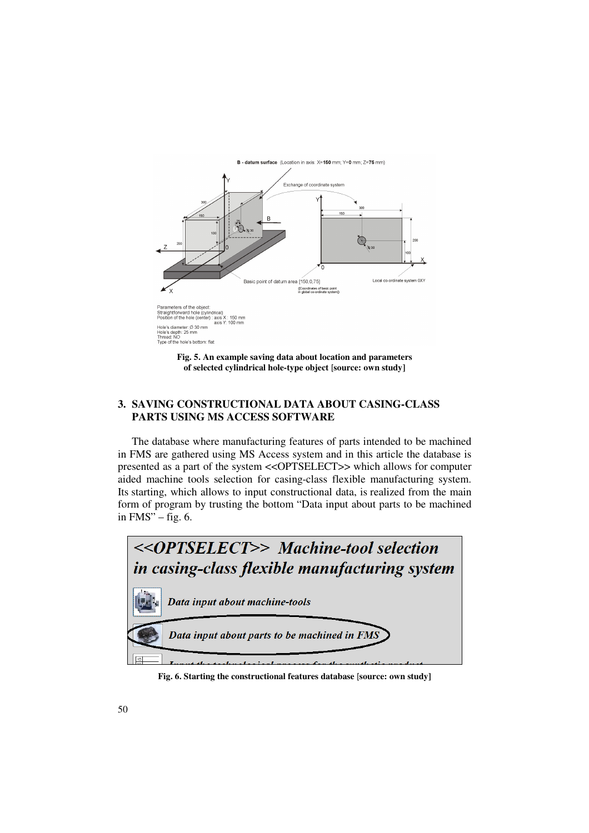

## **3. SAVING CONSTRUCTIONAL DATA ABOUT CASING-CLASS PARTS USING MS ACCESS SOFTWARE**

The database where manufacturing features of parts intended to be machined in FMS are gathered using MS Access system and in this article the database is presented as a part of the system <<OPTSELECT>> which allows for computer aided machine tools selection for casing-class flexible manufacturing system. Its starting, which allows to input constructional data, is realized from the main form of program by trusting the bottom "Data input about parts to be machined in  $FMS'' - fig. 6$ .



**Fig. 6. Starting the constructional features database** [**source: own study]**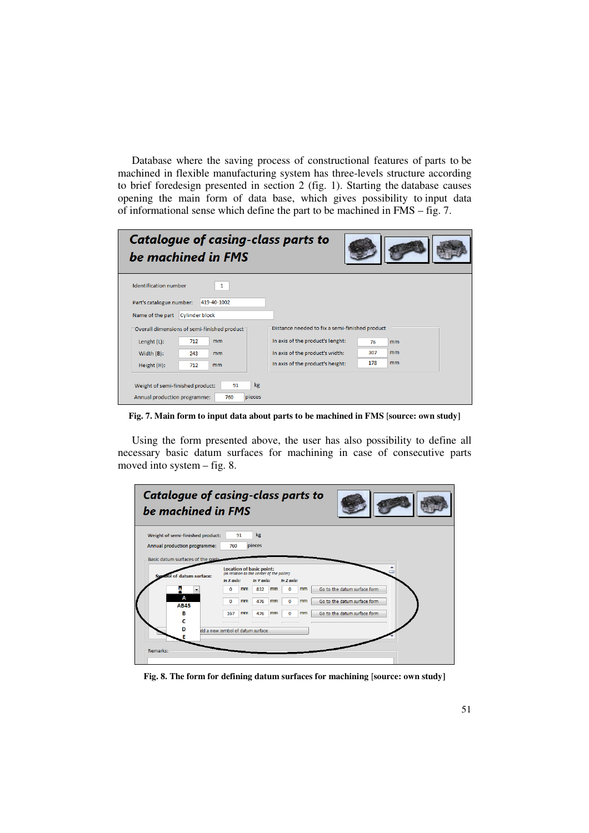Database where the saving process of constructional features of parts to be machined in flexible manufacturing system has three-levels structure according to brief foredesign presented in section 2 (fig. 1). Starting the database causes opening the main form of data base, which gives possibility to input data of informational sense which define the part to be machined in FMS – fig. 7.

| <b>Catalogue of casing-class parts to</b><br>be machined in FMS                                                                                                                                                 |                                                                                          |          |
|-----------------------------------------------------------------------------------------------------------------------------------------------------------------------------------------------------------------|------------------------------------------------------------------------------------------|----------|
| <b>Identification number</b><br>$\mathbf{1}$<br>Part's catalogue number:<br>419-40-1002<br>Name of the part<br><b>Cylinder block</b><br>Overall dimensions of semi-finished product<br>712<br>mm<br>Lenght (L): | Distance needed to fix a semi-finished product<br>In axis of the product's lenght:<br>76 | mm       |
| Width $(B)$ :<br>243<br>mm<br>712<br>Height (H):<br>mm<br>kg<br>91<br>Weight of semi-finished product:<br>Annual production programme:<br>760<br>pieces                                                         | 307<br>In axis of the product's width:<br>178<br>In axis of the product's height:        | mm<br>mm |

**Fig. 7. Main form to input data about parts to be machined in FMS** [**source: own study]** 

Using the form presented above, the user has also possibility to define all necessary basic datum surfaces for machining in case of consecutive parts moved into system – fig. 8.

| <b>Catalogue of casing-class parts to</b><br>be machined in FMS   |                                  |                                                                              |                |                              |  |
|-------------------------------------------------------------------|----------------------------------|------------------------------------------------------------------------------|----------------|------------------------------|--|
| Weight of semi-finished product:                                  | 91                               | kg                                                                           |                |                              |  |
| Annual production programme:<br>Basic datum surfaces of the part: | 760                              | pieces                                                                       |                |                              |  |
|                                                                   |                                  | <b>Location of basic point:</b><br>(in relation to the center of the pallet) |                |                              |  |
| nool of datum surface:                                            | In X axis:                       | In Y axis:                                                                   | In Z axis:     |                              |  |
|                                                                   | mm<br>$\mathbf{0}$               | 832<br>mm                                                                    | mm<br>$\bf{0}$ | Go to the datum surface form |  |
| А<br><b>AB45</b>                                                  | $\overline{0}$<br>mm             | 476<br>mm                                                                    | mm<br>0        | Go to the datum surface form |  |
| в                                                                 | 167<br>mm                        | 476<br>mm                                                                    | mm<br>$\bf{0}$ | Go to the datum surface form |  |
|                                                                   |                                  |                                                                              |                |                              |  |
| n                                                                 | dd a new symbol of datum surface |                                                                              |                |                              |  |
|                                                                   |                                  |                                                                              |                |                              |  |
| Remarks:                                                          |                                  |                                                                              |                |                              |  |
|                                                                   |                                  |                                                                              |                |                              |  |

**Fig. 8. The form for defining datum surfaces for machining** [**source: own study]**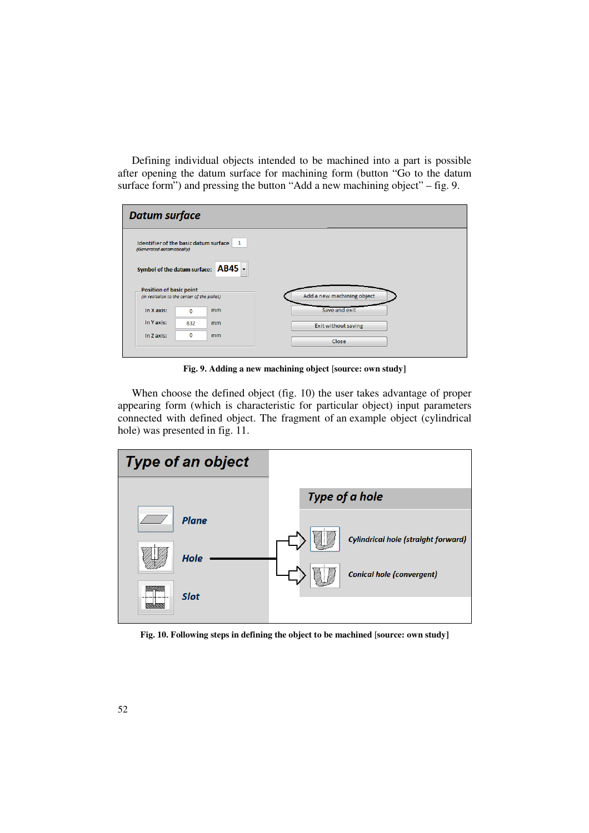Defining individual objects intended to be machined into a part is possible after opening the datum surface for machining form (button "Go to the datum surface form") and pressing the button "Add a new machining object" – fig. 9.

| <b>Datum surface</b>                                               |     |    |  |                            |  |  |
|--------------------------------------------------------------------|-----|----|--|----------------------------|--|--|
| Identifier of the basic datum surface<br>(Generated automatically) |     | 1  |  |                            |  |  |
| Symbol of the datum surface: AB45 -                                |     |    |  |                            |  |  |
| <b>Position of basic point</b>                                     |     |    |  |                            |  |  |
| (in realtaion to the center of the pallet)                         |     |    |  | Add a new machining object |  |  |
| In X axis:                                                         | 0   | mm |  | Save and exit              |  |  |
| In Yaxis:                                                          | 832 | mm |  | Exit without saving        |  |  |
| In Z axis:                                                         | 0   | mm |  | Close                      |  |  |
|                                                                    |     |    |  |                            |  |  |

**Fig. 9. Adding a new machining object** [**source: own study]** 

When choose the defined object (fig. 10) the user takes advantage of proper appearing form (which is characteristic for particular object) input parameters connected with defined object. The fragment of an example object (cylindrical hole) was presented in fig. 11.



**Fig. 10. Following steps in defining the object to be machined** [**source: own study]**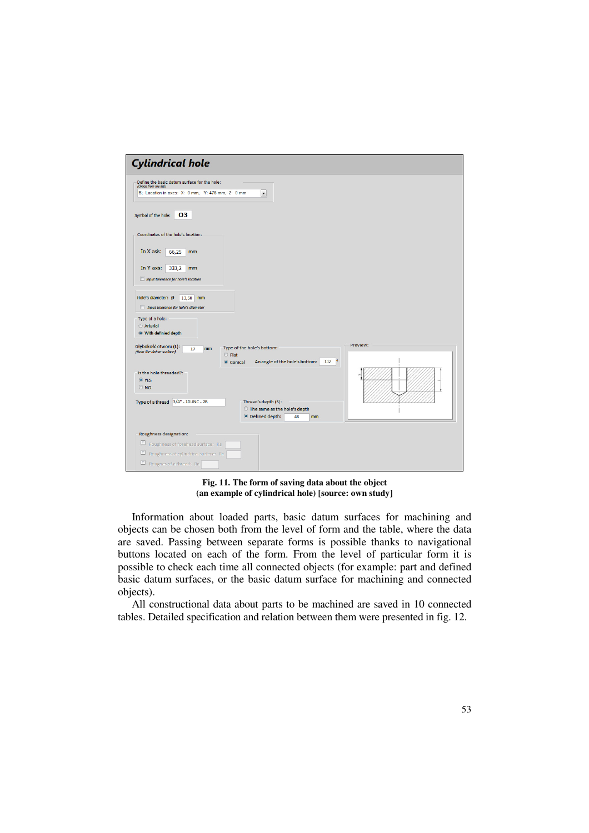| <b>Cylindrical hole</b><br>Define the basic datum surface for the hole:<br>(choice from the list):<br>B; Location in axes: X: 0 mm, Y: 476 mm, Z: 0 mm<br>$\blacktriangledown$<br>03<br>Symbol of the hole:<br>Coordinates of the hole's location:<br>In X asis:<br>66,25<br>mm<br>In Y axis:<br>333,2<br>mm<br><b>Input tolerance for hole's location</b><br>Hole's diameter: Ø<br>13,50<br>mm<br><b>Input tolerance for hole's diameter</b><br>Type of a hole:<br>Arterial<br><b>O</b> With definied depth<br>Preview:<br>Głębokość otworu (L):<br>Type of the hole's bottom:<br>mm<br>17<br>(from the datum surface)<br>$O$ Flat<br>o<br>An angle of the hole's bottom:<br>112<br>Conical<br>Is the hole threaded?:<br>O YES<br>$\odot$ NO<br>Type of a thread 3/4" - 10UNC - 2B<br>Thread's depth (S):<br>◯ The same as the hole's depth<br><sup>O</sup> Defined depth:<br>48<br>mm<br>Roughness designation:<br>$\Box$<br>Roughness of forehead surface: Ra<br>$\Box$<br>Roughness of cylindrical surface: Ra<br>Rougnes of a thread: Ra |  |
|-----------------------------------------------------------------------------------------------------------------------------------------------------------------------------------------------------------------------------------------------------------------------------------------------------------------------------------------------------------------------------------------------------------------------------------------------------------------------------------------------------------------------------------------------------------------------------------------------------------------------------------------------------------------------------------------------------------------------------------------------------------------------------------------------------------------------------------------------------------------------------------------------------------------------------------------------------------------------------------------------------------------------------------------------|--|
|                                                                                                                                                                                                                                                                                                                                                                                                                                                                                                                                                                                                                                                                                                                                                                                                                                                                                                                                                                                                                                               |  |
|                                                                                                                                                                                                                                                                                                                                                                                                                                                                                                                                                                                                                                                                                                                                                                                                                                                                                                                                                                                                                                               |  |
|                                                                                                                                                                                                                                                                                                                                                                                                                                                                                                                                                                                                                                                                                                                                                                                                                                                                                                                                                                                                                                               |  |
|                                                                                                                                                                                                                                                                                                                                                                                                                                                                                                                                                                                                                                                                                                                                                                                                                                                                                                                                                                                                                                               |  |
|                                                                                                                                                                                                                                                                                                                                                                                                                                                                                                                                                                                                                                                                                                                                                                                                                                                                                                                                                                                                                                               |  |
|                                                                                                                                                                                                                                                                                                                                                                                                                                                                                                                                                                                                                                                                                                                                                                                                                                                                                                                                                                                                                                               |  |
|                                                                                                                                                                                                                                                                                                                                                                                                                                                                                                                                                                                                                                                                                                                                                                                                                                                                                                                                                                                                                                               |  |
|                                                                                                                                                                                                                                                                                                                                                                                                                                                                                                                                                                                                                                                                                                                                                                                                                                                                                                                                                                                                                                               |  |
|                                                                                                                                                                                                                                                                                                                                                                                                                                                                                                                                                                                                                                                                                                                                                                                                                                                                                                                                                                                                                                               |  |
|                                                                                                                                                                                                                                                                                                                                                                                                                                                                                                                                                                                                                                                                                                                                                                                                                                                                                                                                                                                                                                               |  |
|                                                                                                                                                                                                                                                                                                                                                                                                                                                                                                                                                                                                                                                                                                                                                                                                                                                                                                                                                                                                                                               |  |
|                                                                                                                                                                                                                                                                                                                                                                                                                                                                                                                                                                                                                                                                                                                                                                                                                                                                                                                                                                                                                                               |  |
|                                                                                                                                                                                                                                                                                                                                                                                                                                                                                                                                                                                                                                                                                                                                                                                                                                                                                                                                                                                                                                               |  |
|                                                                                                                                                                                                                                                                                                                                                                                                                                                                                                                                                                                                                                                                                                                                                                                                                                                                                                                                                                                                                                               |  |
|                                                                                                                                                                                                                                                                                                                                                                                                                                                                                                                                                                                                                                                                                                                                                                                                                                                                                                                                                                                                                                               |  |
|                                                                                                                                                                                                                                                                                                                                                                                                                                                                                                                                                                                                                                                                                                                                                                                                                                                                                                                                                                                                                                               |  |
|                                                                                                                                                                                                                                                                                                                                                                                                                                                                                                                                                                                                                                                                                                                                                                                                                                                                                                                                                                                                                                               |  |
|                                                                                                                                                                                                                                                                                                                                                                                                                                                                                                                                                                                                                                                                                                                                                                                                                                                                                                                                                                                                                                               |  |

**Fig. 11. The form of saving data about the object (an example of cylindrical hole) [source: own study]** 

Information about loaded parts, basic datum surfaces for machining and objects can be chosen both from the level of form and the table, where the data are saved. Passing between separate forms is possible thanks to navigational buttons located on each of the form. From the level of particular form it is possible to check each time all connected objects (for example: part and defined basic datum surfaces, or the basic datum surface for machining and connected objects).

All constructional data about parts to be machined are saved in 10 connected tables. Detailed specification and relation between them were presented in fig. 12.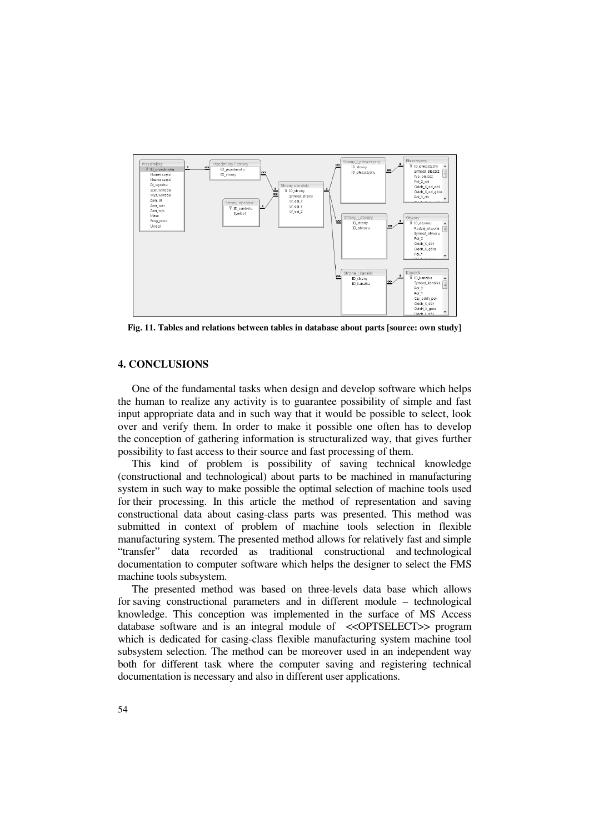

**Fig. 11. Tables and relations between tables in database about parts [source: own study]** 

## **4. CONCLUSIONS**

One of the fundamental tasks when design and develop software which helps the human to realize any activity is to guarantee possibility of simple and fast input appropriate data and in such way that it would be possible to select, look over and verify them. In order to make it possible one often has to develop the conception of gathering information is structuralized way, that gives further possibility to fast access to their source and fast processing of them.

This kind of problem is possibility of saving technical knowledge (constructional and technological) about parts to be machined in manufacturing system in such way to make possible the optimal selection of machine tools used for their processing. In this article the method of representation and saving constructional data about casing-class parts was presented. This method was submitted in context of problem of machine tools selection in flexible manufacturing system. The presented method allows for relatively fast and simple "transfer" data recorded as traditional constructional and technological documentation to computer software which helps the designer to select the FMS machine tools subsystem.

The presented method was based on three-levels data base which allows for saving constructional parameters and in different module – technological knowledge. This conception was implemented in the surface of MS Access database software and is an integral module of <<OPTSELECT>> program which is dedicated for casing-class flexible manufacturing system machine tool subsystem selection. The method can be moreover used in an independent way both for different task where the computer saving and registering technical documentation is necessary and also in different user applications.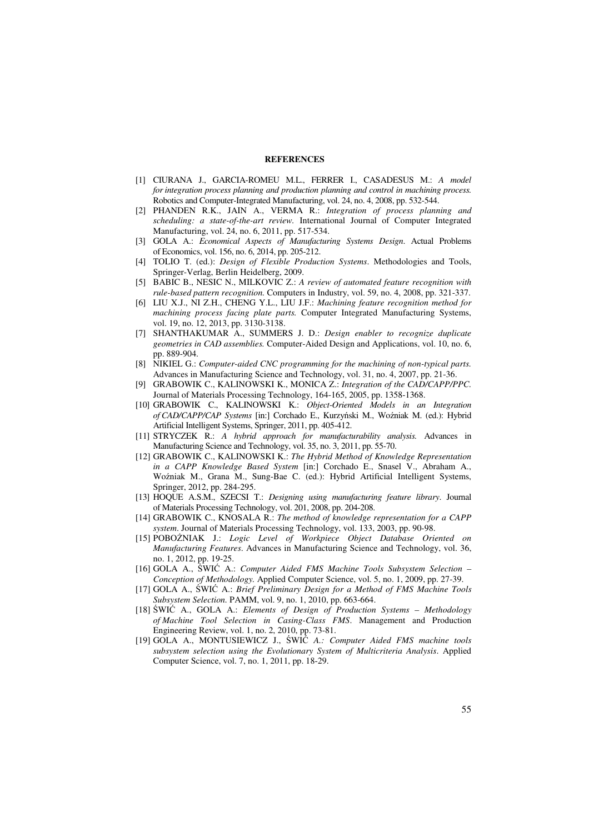#### **REFERENCES**

- [1] CIURANA J., GARCIA-ROMEU M.L., FERRER I., CASADESUS M.: *A model for integration process planning and production planning and control in machining process.* Robotics and Computer-Integrated Manufacturing, vol. 24, no. 4, 2008, pp. 532-544.
- [2] PHANDEN R.K., JAIN A., VERMA R.: *Integration of process planning and scheduling: a state-of-the-art review.* International Journal of Computer Integrated Manufacturing, vol. 24, no. 6, 2011, pp. 517-534.
- [3] GOLA A.: *Economical Aspects of Manufacturing Systems Design*. Actual Problems of Economics, vol. 156, no. 6, 2014, pp. 205-212.
- [4] TOLIO T. (ed.): *Design of Flexible Production Systems*. Methodologies and Tools, Springer-Verlag, Berlin Heidelberg, 2009.
- [5] BABIC B., NESIC N., MILKOVIC Z.: *A review of automated feature recognition with rule-based pattern recognition.* Computers in Industry, vol. 59, no. 4, 2008, pp. 321-337.
- [6] LIU X.J., NI Z.H., CHENG Y.L., LIU J.F.: *Machining feature recognition method for machining process facing plate parts.* Computer Integrated Manufacturing Systems, vol. 19, no. 12, 2013, pp. 3130-3138.
- [7] SHANTHAKUMAR A., SUMMERS J. D.: *Design enabler to recognize duplicate geometries in CAD assemblies.* Computer-Aided Design and Applications, vol. 10, no. 6, pp. 889-904.
- [8] NIKIEL G.: *Computer-aided CNC programming for the machining of non-typical parts.* Advances in Manufacturing Science and Technology, vol. 31, no. 4, 2007, pp. 21-36.
- [9] GRABOWIK C., KALINOWSKI K., MONICA Z.: *Integration of the CAD/CAPP/PPC.* Journal of Materials Processing Technology, 164-165, 2005, pp. 1358-1368.
- [10] GRABOWIK C., KALINOWSKI K.: *Object-Oriented Models in an Integration of CAD/CAPP/CAP Systems* [in:] Corchado E., Kurzyński M., Woźniak M. (ed.): Hybrid Artificial Intelligent Systems, Springer, 2011, pp. 405-412.
- [11] STRYCZEK R.: *A hybrid approach for manufacturability analysis.* Advances in Manufacturing Science and Technology, vol. 35, no. 3, 2011, pp. 55-70.
- [12] GRABOWIK C., KALINOWSKI K.: *The Hybrid Method of Knowledge Representation in a CAPP Knowledge Based System* [in:] Corchado E., Snasel V., Abraham A., Woźniak M., Grana M., Sung-Bae C. (ed.): Hybrid Artificial Intelligent Systems, Springer, 2012, pp. 284-295.
- [13] HOQUE A.S.M., SZECSI T.: *Designing using manufacturing feature library*. Journal of Materials Processing Technology, vol. 201, 2008, pp. 204-208.
- [14] GRABOWIK C., KNOSALA R.: *The method of knowledge representation for a CAPP system*. Journal of Materials Processing Technology, vol. 133, 2003, pp. 90-98.
- [15] POBOśNIAK J.: *Logic Level of Workpiece Object Database Oriented on Manufacturing Features*. Advances in Manufacturing Science and Technology, vol. 36, no. 1, 2012, pp. 19-25.
- [16] GOLA A., ŚWIĆ A.: *Computer Aided FMS Machine Tools Subsystem Selection Conception of Methodology.* Applied Computer Science, vol. 5, no. 1, 2009, pp. 27-39.
- [17] GOLA A., ŚWIĆ A.: *Brief Preliminary Design for a Method of FMS Machine Tools Subsystem Selection.* PAMM, vol. 9, no. 1, 2010, pp. 663-664.
- [18] ŚWIĆ A., GOLA A.: *Elements of Design of Production Systems Methodology of Machine Tool Selection in Casing-Class FMS*. Management and Production Engineering Review, vol. 1, no. 2, 2010, pp. 73-81.
- [19] GOLA A., MONTUSIEWICZ J., ŚWIĆ *A.: Computer Aided FMS machine tools subsystem selection using the Evolutionary System of Multicriteria Analysis*. Applied Computer Science, vol. 7, no. 1, 2011, pp. 18-29.